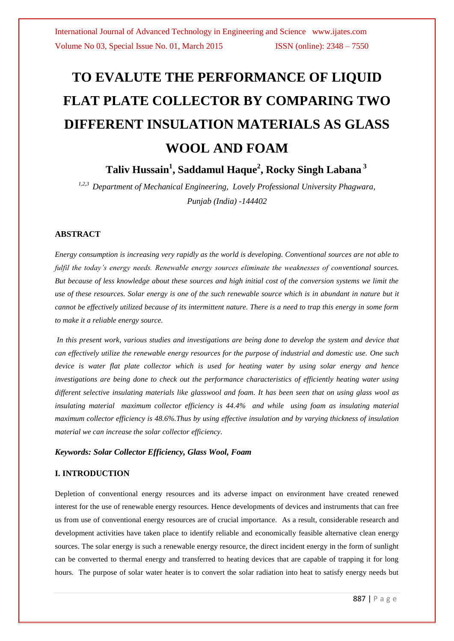# **TO EVALUTE THE PERFORMANCE OF LIQUID FLAT PLATE COLLECTOR BY COMPARING TWO DIFFERENT INSULATION MATERIALS AS GLASS WOOL AND FOAM**

## **Taliv Hussain<sup>1</sup> , Saddamul Haque<sup>2</sup> , Rocky Singh Labana <sup>3</sup>**

*1,2,3 Department of Mechanical Engineering, Lovely Professional University Phagwara, Punjab (India) -144402*

#### **ABSTRACT**

*Energy consumption is increasing very rapidly as the world is developing. Conventional sources are not able to fulfil the today's energy needs. Renewable energy sources eliminate the weaknesses of conventional sources. But because of less knowledge about these sources and high initial cost of the conversion systems we limit the use of these resources. Solar energy is one of the such renewable source which is in abundant in nature but it cannot be effectively utilized because of its intermittent nature. There is a need to trap this energy in some form to make it a reliable energy source.*

*In this present work, various studies and investigations are being done to develop the system and device that can effectively utilize the renewable energy resources for the purpose of industrial and domestic use. One such device is water flat plate collector which is used for heating water by using solar energy and hence investigations are being done to check out the performance characteristics of efficiently heating water using different selective insulating materials like glasswool and foam. It has been seen that on using glass wool as insulating material maximum collector efficiency is 44.4% and while using foam as insulating material maximum collector efficiency is 48.6%.Thus by using effective insulation and by varying thickness of insulation material we can increase the solar collector efficiency.*

#### *Keywords: Solar Collector Efficiency, Glass Wool, Foam*

#### **I. INTRODUCTION**

Depletion of conventional energy resources and its adverse impact on environment have created renewed interest for the use of renewable energy resources. Hence developments of devices and instruments that can free us from use of conventional energy resources are of crucial importance. As a result, considerable research and development activities have taken place to identify reliable and economically feasible alternative clean energy sources. The solar energy is such a renewable energy resource, the direct incident energy in the form of sunlight can be converted to thermal energy and transferred to heating devices that are capable of trapping it for long hours. The purpose of solar water heater is to convert the solar radiation into heat to satisfy energy needs but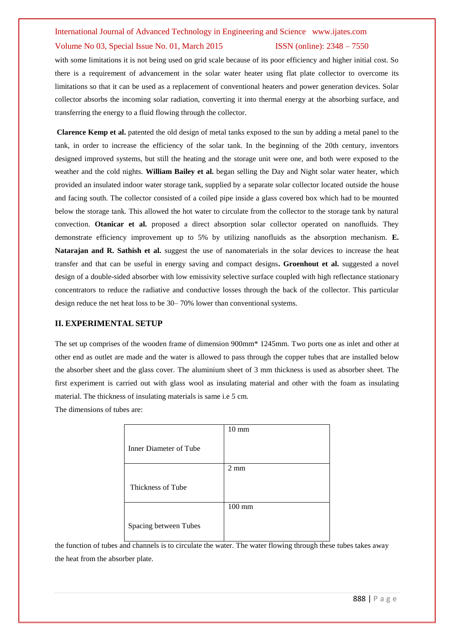## International Journal of Advanced Technology in Engineering and Science www.ijates.com Volume No 03, Special Issue No. 01, March 2015 ISSN (online): 2348 – 7550

with some limitations it is not being used on grid scale because of its poor efficiency and higher initial cost. So there is a requirement of advancement in the solar water heater using flat plate collector to overcome its limitations so that it can be used as a replacement of conventional heaters and power generation devices. Solar collector absorbs the incoming solar radiation, converting it into thermal energy at the absorbing surface, and transferring the energy to a fluid flowing through the collector.

**Clarence Kemp et al.** patented the old design of metal tanks exposed to the sun by adding a metal panel to the tank, in order to increase the efficiency of the solar tank. In the beginning of the 20th century, inventors designed improved systems, but still the heating and the storage unit were one, and both were exposed to the weather and the cold nights. **William Bailey et al.** began selling the Day and Night solar water heater, which provided an insulated indoor water storage tank, supplied by a separate solar collector located outside the house and facing south. The collector consisted of a coiled pipe inside a glass covered box which had to be mounted below the storage tank. This allowed the hot water to circulate from the collector to the storage tank by natural convection. **Otanicar et al.** proposed a direct absorption solar collector operated on nanofluids. They demonstrate efficiency improvement up to 5% by utilizing nanofluids as the absorption mechanism. **E. Natarajan and R. Sathish et al.** suggest the use of nanomaterials in the solar devices to increase the heat transfer and that can be useful in energy saving and compact designs**. Groenhout et al.** suggested a novel design of a double-sided absorber with low emissivity selective surface coupled with high reflectance stationary concentrators to reduce the radiative and conductive losses through the back of the collector. This particular design reduce the net heat loss to be 30– 70% lower than conventional systems.

#### **II. EXPERIMENTAL SETUP**

The set up comprises of the wooden frame of dimension 900mm\* 1245mm. Two ports one as inlet and other at other end as outlet are made and the water is allowed to pass through the copper tubes that are installed below the absorber sheet and the glass cover. The aluminium sheet of 3 mm thickness is used as absorber sheet. The first experiment is carried out with glass wool as insulating material and other with the foam as insulating material. The thickness of insulating materials is same i.e 5 cm.

The dimensions of tubes are:

|                        | $10 \text{ mm}$ |
|------------------------|-----------------|
| Inner Diameter of Tube |                 |
|                        | $2 \text{ mm}$  |
| Thickness of Tube      |                 |
|                        | $100$ mm        |
| Spacing between Tubes  |                 |

the function of tubes and channels is to circulate the water. The water flowing through these tubes takes away the heat from the absorber plate.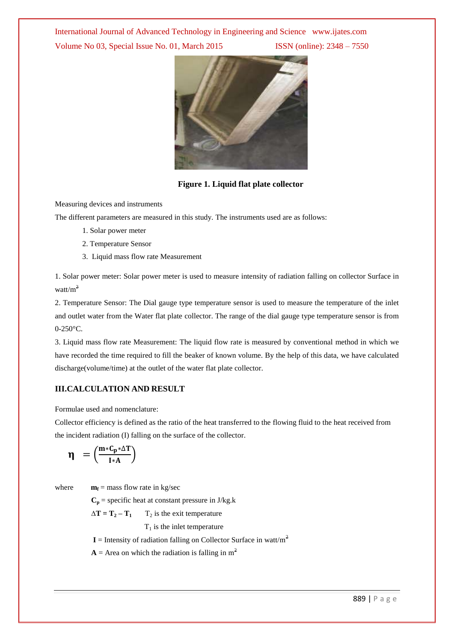International Journal of Advanced Technology in Engineering and Science www.ijates.com Volume No 03, Special Issue No. 01, March 2015 ISSN (online): 2348 – 7550



**Figure 1. Liquid flat plate collector**

Measuring devices and instruments

The different parameters are measured in this study. The instruments used are as follows:

- 1. Solar power meter
- 2. Temperature Sensor
- 3. Liquid mass flow rate Measurement

1. Solar power meter: Solar power meter is used to measure intensity of radiation falling on collector Surface in watt/ $m^2$ 

2. Temperature Sensor: The Dial gauge type temperature sensor is used to measure the temperature of the inlet and outlet water from the Water flat plate collector. The range of the dial gauge type temperature sensor is from 0-250°C.

3. Liquid mass flow rate Measurement: The liquid flow rate is measured by conventional method in which we have recorded the time required to fill the beaker of known volume. By the help of this data, we have calculated discharge(volume/time) at the outlet of the water flat plate collector.

#### **III.CALCULATION AND RESULT**

Formulae used and nomenclature:

Collector efficiency is defined as the ratio of the heat transferred to the flowing fluid to the heat received from the incident radiation (I) falling on the surface of the collector.

$$
\eta = \left(\frac{m * C_p * \Delta T}{I * A}\right)
$$

where  $m_f$  = mass flow rate in kg/sec

 $C_p$  = specific heat at constant pressure in J/kg.k

 $\Delta T = T_2 - T_1$  T<sub>2</sub> is the exit temperature

 $T_1$  is the inlet temperature

 $I =$  Intensity of radiation falling on Collector Surface in watt/m<sup>2</sup>

 $A =$  Area on which the radiation is falling in m<sup>2</sup>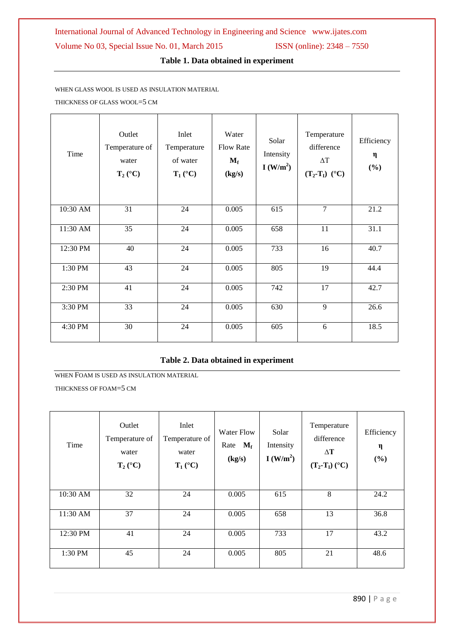#### **Table 1. Data obtained in experiment**

WHEN GLASS WOOL IS USED AS INSULATION MATERIAL

THICKNESS OF GLASS WOOL=5 CM

| Time     | Outlet<br>Temperature of<br>water<br>$T_2 (^{\circ}C)$ | Inlet<br>Temperature<br>of water<br>$T_1 (^\circ C)$ | Water<br><b>Flow Rate</b><br>$\mathbf{M}_{\mathbf{f}}$<br>(kg/s) | Solar<br>Intensity<br>I(W/m <sup>2</sup> ) | Temperature<br>difference<br>$\Delta T$<br>$(T_2-T_1)$ (°C) | Efficiency<br>η<br>(%) |
|----------|--------------------------------------------------------|------------------------------------------------------|------------------------------------------------------------------|--------------------------------------------|-------------------------------------------------------------|------------------------|
| 10:30 AM | 31                                                     | 24                                                   | 0.005                                                            | 615                                        | $\overline{7}$                                              | 21.2                   |
| 11:30 AM | 35                                                     | 24                                                   | 0.005                                                            | 658                                        | 11                                                          | 31.1                   |
| 12:30 PM | 40                                                     | 24                                                   | 0.005                                                            | 733                                        | 16                                                          | 40.7                   |
| 1:30 PM  | 43                                                     | 24                                                   | 0.005                                                            | 805                                        | 19                                                          | 44.4                   |
| 2:30 PM  | 41                                                     | 24                                                   | 0.005                                                            | 742                                        | 17                                                          | 42.7                   |
| 3:30 PM  | 33                                                     | 24                                                   | 0.005                                                            | 630                                        | $\overline{9}$                                              | 26.6                   |
| 4:30 PM  | 30                                                     | 24                                                   | 0.005                                                            | 605                                        | 6                                                           | 18.5                   |

#### **Table 2. Data obtained in experiment**

WHEN FOAM IS USED AS INSULATION MATERIAL

THICKNESS OF FOAM=5 CM

| Time     | Outlet<br>Temperature of<br>water<br>$T_2 (^\circ C)$ | Inlet<br>Temperature of<br>water<br>$T_1 (^\circ C)$ | Water Flow<br>$\mathbf{M}_{\mathbf{f}}$<br>Rate<br>(kg/s) | Solar<br>Intensity<br>I $(W/m^2)$ | Temperature<br>difference<br>$\Delta T$<br>$(T_2-T_1)$ (°C) | Efficiency<br>η<br>(%) |
|----------|-------------------------------------------------------|------------------------------------------------------|-----------------------------------------------------------|-----------------------------------|-------------------------------------------------------------|------------------------|
| 10:30 AM | 32                                                    | 24                                                   | 0.005                                                     | 615                               | 8                                                           | 24.2                   |
| 11:30 AM | 37                                                    | 24                                                   | 0.005                                                     | 658                               | 13                                                          | 36.8                   |
| 12:30 PM | 41                                                    | 24                                                   | 0.005                                                     | 733                               | 17                                                          | 43.2                   |
| 1:30 PM  | 45                                                    | 24                                                   | 0.005                                                     | 805                               | 21                                                          | 48.6                   |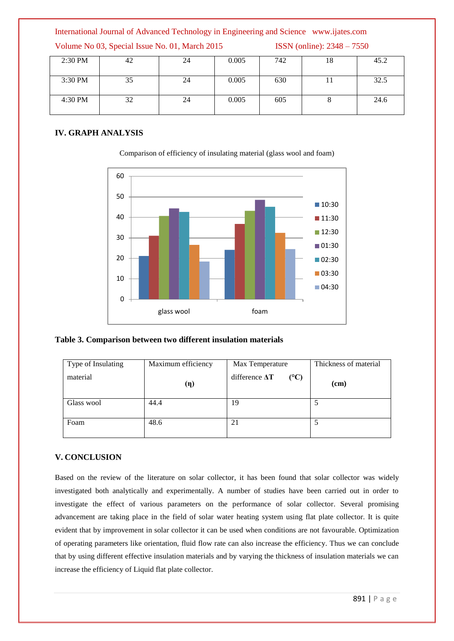### International Journal of Advanced Technology in Engineering and Science www.ijates.com Volume No 03, Special Issue No. 01, March 2015 ISSN (online): 2348 – 7550

| 2:30 PM | 42 | 24 | 0.005 | 742 | 18 | 45.2 |
|---------|----|----|-------|-----|----|------|
| 3:30 PM | 35 | 24 | 0.005 | 630 |    | 32.5 |
| 4:30 PM | 32 | 24 | 0.005 | 605 |    | 24.6 |

#### **IV. GRAPH ANALYSIS**

0 10 20 30 40 50 60 glass wool by a foam ■10:30  $11:30$  $12:30$ ■ 01:30 ■ 02:30 03:30 04:30

Comparison of efficiency of insulating material (glass wool and foam)

#### **Table 3. Comparison between two different insulation materials**

| Type of Insulating | Maximum efficiency | Max Temperature               | Thickness of material |
|--------------------|--------------------|-------------------------------|-----------------------|
| material           | (η)                | difference $\Delta T$<br>(°C) | (cm)                  |
| Glass wool         | 44.4               | 19                            |                       |
| Foam               | 48.6               | 21                            |                       |

#### **V. CONCLUSION**

Based on the review of the literature on solar collector, it has been found that solar collector was widely investigated both analytically and experimentally. A number of studies have been carried out in order to investigate the effect of various parameters on the performance of solar collector. Several promising advancement are taking place in the field of solar water heating system using flat plate collector. It is quite evident that by improvement in solar collector it can be used when conditions are not favourable. Optimization of operating parameters like orientation, fluid flow rate can also increase the efficiency. Thus we can conclude that by using different effective insulation materials and by varying the thickness of insulation materials we can increase the efficiency of Liquid flat plate collector.